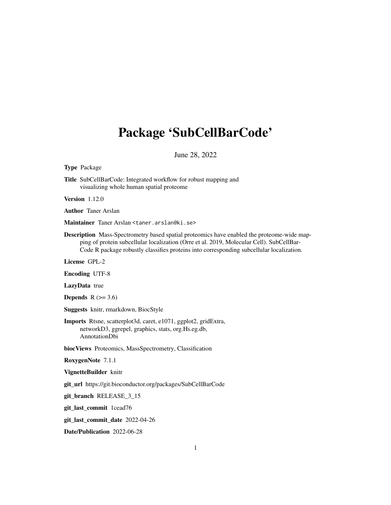## Package 'SubCellBarCode'

June 28, 2022

Type Package

Title SubCellBarCode: Integrated workflow for robust mapping and visualizing whole human spatial proteome

Version 1.12.0

Author Taner Arslan

Maintainer Taner Arslan <taner.arslan@ki.se>

Description Mass-Spectrometry based spatial proteomics have enabled the proteome-wide mapping of protein subcellular localization (Orre et al. 2019, Molecular Cell). SubCellBar-Code R package robustly classifies proteins into corresponding subcellular localization.

License GPL-2

Encoding UTF-8

LazyData true

Depends  $R$  ( $>= 3.6$ )

Suggests knitr, rmarkdown, BiocStyle

Imports Rtsne, scatterplot3d, caret, e1071, ggplot2, gridExtra, networkD3, ggrepel, graphics, stats, org.Hs.eg.db, AnnotationDbi

biocViews Proteomics, MassSpectrometry, Classification

RoxygenNote 7.1.1

VignetteBuilder knitr

git\_url https://git.bioconductor.org/packages/SubCellBarCode

git\_branch RELEASE\_3\_15

git\_last\_commit 1cead76

git\_last\_commit\_date 2022-04-26

Date/Publication 2022-06-28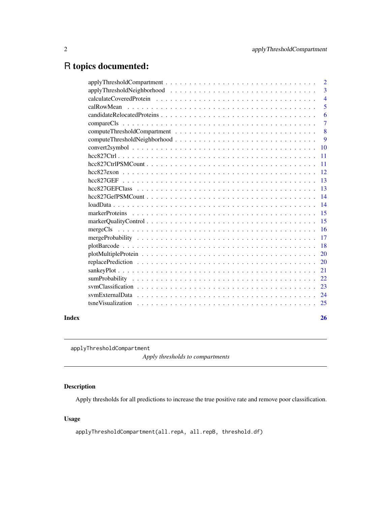## <span id="page-1-0"></span>R topics documented:

| Index |                                                                                                                     | 26             |
|-------|---------------------------------------------------------------------------------------------------------------------|----------------|
|       |                                                                                                                     |                |
|       |                                                                                                                     |                |
|       |                                                                                                                     | 23             |
|       |                                                                                                                     | 22             |
|       |                                                                                                                     | 21             |
|       |                                                                                                                     | 20             |
|       |                                                                                                                     | 20             |
|       |                                                                                                                     | 18             |
|       |                                                                                                                     | 17             |
|       |                                                                                                                     | <b>16</b>      |
|       | marker Quality Control $\ldots \ldots \ldots \ldots \ldots \ldots \ldots \ldots \ldots \ldots \ldots \ldots \ldots$ | 15             |
|       |                                                                                                                     | 15             |
|       |                                                                                                                     | 14             |
|       |                                                                                                                     | 14             |
|       |                                                                                                                     | 13             |
|       |                                                                                                                     | 13             |
|       |                                                                                                                     | <sup>12</sup>  |
|       |                                                                                                                     | 11             |
|       |                                                                                                                     | 11             |
|       |                                                                                                                     | <b>10</b>      |
|       |                                                                                                                     | 9              |
|       |                                                                                                                     | 8              |
|       |                                                                                                                     | $\tau$         |
|       |                                                                                                                     | 6              |
|       | calRowMean                                                                                                          | 5              |
|       |                                                                                                                     | $\overline{4}$ |
|       |                                                                                                                     | 3              |
|       |                                                                                                                     | $\overline{2}$ |

applyThresholdCompartment

*Apply thresholds to compartments*

## Description

Apply thresholds for all predictions to increase the true positive rate and remove poor classification.

## Usage

applyThresholdCompartment(all.repA, all.repB, threshold.df)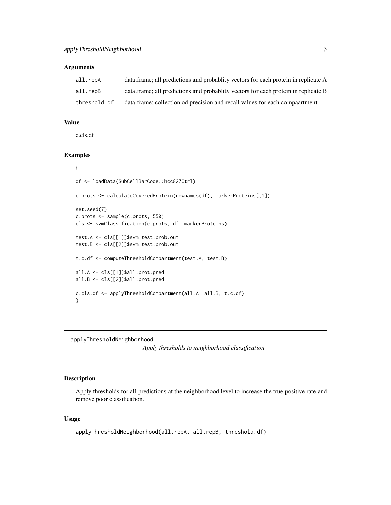## <span id="page-2-0"></span>Arguments

| all.repA     | data frame; all predictions and probability vectors for each protein in replicate A  |
|--------------|--------------------------------------------------------------------------------------|
| all.repB     | data, frame; all predictions and probability vectors for each protein in replicate B |
| threshold.df | data.frame; collection od precision and recall values for each compaartment          |

## Value

c.cls.df

## Examples

```
{
df <- loadData(SubCellBarCode::hcc827Ctrl)
c.prots <- calculateCoveredProtein(rownames(df), markerProteins[,1])
set.seed(7)
c.prots <- sample(c.prots, 550)
cls <- svmClassification(c.prots, df, markerProteins)
test.A <- cls[[1]]$svm.test.prob.out
test.B <- cls[[2]]$svm.test.prob.out
t.c.df <- computeThresholdCompartment(test.A, test.B)
all.A <- cls[[1]]$all.prot.pred
all.B <- cls[[2]]$all.prot.pred
c.cls.df <- applyThresholdCompartment(all.A, all.B, t.c.df)
}
```
applyThresholdNeighborhood

*Apply thresholds to neighborhood classification*

## Description

Apply thresholds for all predictions at the neighborhood level to increase the true positive rate and remove poor classification.

#### Usage

```
applyThresholdNeighborhood(all.repA, all.repB, threshold.df)
```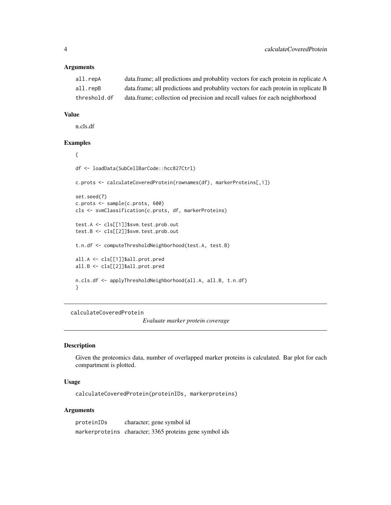#### <span id="page-3-0"></span>Arguments

| all.repA     | data.frame; all predictions and probability vectors for each protein in replicate A |
|--------------|-------------------------------------------------------------------------------------|
| all.repB     | data frame; all predictions and probability vectors for each protein in replicate B |
| threshold.df | data.frame; collection od precision and recall values for each neighborhood         |

#### Value

n.cls.df

## Examples

```
{
df <- loadData(SubCellBarCode::hcc827Ctrl)
c.prots <- calculateCoveredProtein(rownames(df), markerProteins[,1])
set.seed(7)
c.prots <- sample(c.prots, 600)
cls <- svmClassification(c.prots, df, markerProteins)
test.A <- cls[[1]]$svm.test.prob.out
test.B <- cls[[2]]$svm.test.prob.out
t.n.df <- computeThresholdNeighborhood(test.A, test.B)
all.A <- cls[[1]]$all.prot.pred
all.B <- cls[[2]]$all.prot.pred
n.cls.df <- applyThresholdNeighborhood(all.A, all.B, t.n.df)
}
```
calculateCoveredProtein

*Evaluate marker protein coverage*

#### Description

Given the proteomics data, number of overlapped marker proteins is calculated. Bar plot for each compartment is plotted.

## Usage

calculateCoveredProtein(proteinIDs, markerproteins)

## Arguments

proteinIDs character; gene symbol id markerproteins character; 3365 proteins gene symbol ids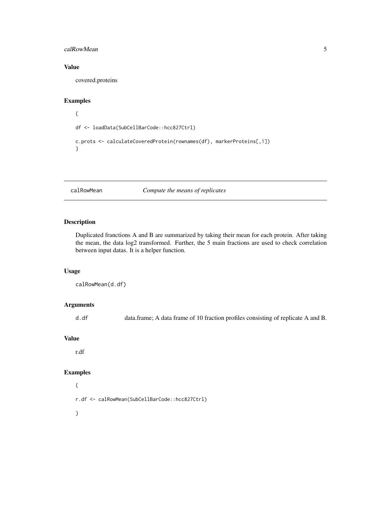#### <span id="page-4-0"></span>calRowMean 5

## Value

covered.proteins

#### Examples

```
{
df <- loadData(SubCellBarCode::hcc827Ctrl)
c.prots <- calculateCoveredProtein(rownames(df), markerProteins[,1])
}
```
## calRowMean *Compute the means of replicates*

## Description

Duplicated franctions A and B are summarized by taking their mean for each protein. After taking the mean, the data log2 transformed. Further, the 5 main fractions are used to check correlation between input datas. It is a helper function.

#### Usage

```
calRowMean(d.df)
```
## Arguments

d.df data.frame; A data frame of 10 fraction profiles consisting of replicate A and B.

#### Value

r.df

#### Examples

```
{
r.df <- calRowMean(SubCellBarCode::hcc827Ctrl)
}
```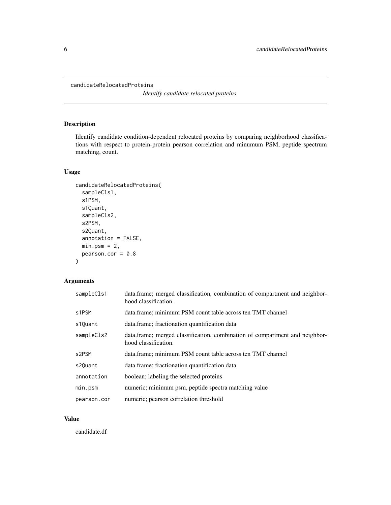<span id="page-5-0"></span>candidateRelocatedProteins

*Identify candidate relocated proteins*

## Description

Identify candidate condition-dependent relocated proteins by comparing neighborhood classifications with respect to protein-protein pearson correlation and minumum PSM, peptide spectrum matching, count.

## Usage

```
candidateRelocatedProteins(
  sampleCls1,
  s1PSM,
  s1Quant,
  sampleCls2,
  s2PSM,
  s2Quant,
  annotation = FALSE,
 min.psm = 2,
 pearson.cor = 0.8)
```
## Arguments

| sampleCls1  | data.frame; merged classification, combination of compartment and neighbor-<br>hood classification. |
|-------------|-----------------------------------------------------------------------------------------------------|
| s1PSM       | data.frame; minimum PSM count table across ten TMT channel                                          |
| s10uant     | data.frame; fractionation quantification data                                                       |
| sampleCls2  | data.frame; merged classification, combination of compartment and neighbor-<br>hood classification. |
| s2PSM       | data.frame; minimum PSM count table across ten TMT channel                                          |
| s20uant     | data.frame; fractionation quantification data                                                       |
| annotation  | boolean; labeling the selected proteins                                                             |
| min.psm     | numeric; minimum psm, peptide spectra matching value                                                |
| pearson.cor | numeric; pearson correlation threshold                                                              |

#### Value

candidate.df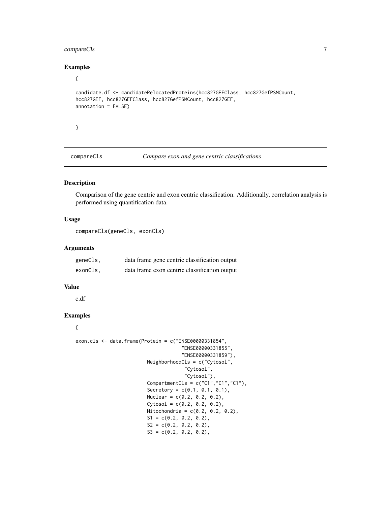## <span id="page-6-0"></span>compareCls 7

## Examples

#### {

```
candidate.df <- candidateRelocatedProteins(hcc827GEFClass, hcc827GefPSMCount,
hcc827GEF, hcc827GEFClass, hcc827GefPSMCount, hcc827GEF,
annotation = FALSE)
```
}

compareCls *Compare exon and gene centric classifications*

## Description

Comparison of the gene centric and exon centric classification. Additionally, correlation analysis is performed using quantification data.

#### Usage

```
compareCls(geneCls, exonCls)
```
#### Arguments

| geneCls, | data frame gene centric classification output |
|----------|-----------------------------------------------|
| exonCls. | data frame exon centric classification output |

## Value

c.df

## Examples

#### {

```
exon.cls <- data.frame(Protein = c("ENSE00000331854",
                                     "ENSE00000331855",
                                     "ENSE00000331859"),
                         NeighborhoodCls = c("Cytosol",
                                      "Cytosol",
                                      "Cytosol"),
                         CompartmentCls = c("C1", "C1", "C1"),
                         Secretory = c(0.1, 0.1, 0.1),
                         Nuclear = c(0.2, 0.2, 0.2),
                         Cytosol = c(0.2, 0.2, 0.2),
                         Mitochondria = c(0.2, 0.2, 0.2),
                         S1 = c(0.2, 0.2, 0.2),
                         S2 = c(0.2, 0.2, 0.2),
                         S3 = c(0.2, 0.2, 0.2),
```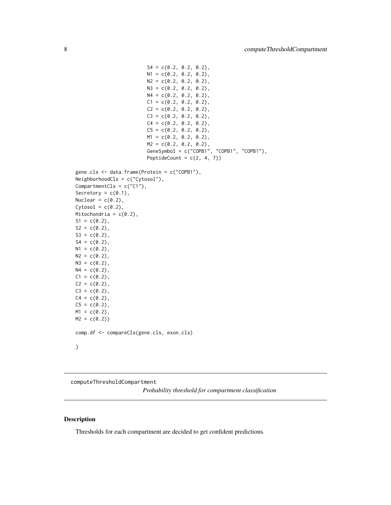```
S4 = c(0.2, 0.2, 0.2),
                         NI = c(0.2, 0.2, 0.2),
                         N2 = c(0.2, 0.2, 0.2),
                         N3 = c(0.2, 0.2, 0.2),
                         N4 = c(0.2, 0.2, 0.2),
                         C1 = C(0.2, 0.2, 0.2),
                         C2 = c(0.2, 0.2, 0.2),
                         C3 = c(0.2, 0.2, 0.2),
                         C4 = c(0.2, 0.2, 0.2),
                         C5 = c(0.2, 0.2, 0.2),
                         M1 = c(0.2, 0.2, 0.2),
                         M2 = c(0.2, 0.2, 0.2),
                         GeneSymbol = c("COPB1", "COPB1", "COPB1"),
                         PeptideCount = c(2, 4, 7)gene.cls <- data.frame(Protein = c("COPB1"),
NeighborhoodCls = c("Cytosol"),
CompartmentCls = c("C1"),
Secretory = c(0.1),
Nuclear = c(0.2),
Cytosol = c(0.2),
Mitochondria = c(0.2),
S1 = c(0.2),
S2 = c(0.2),
S3 = c(0.2),
S4 = c(0.2),
N1 = c(0.2),
N2 = c(0.2),
N3 = c(0.2),
N4 = c(0.2),
C1 = c(0.2),
C2 = c(0.2),
C3 = c(0.2),
C4 = c(0.2),
C5 = c(0.2),
M1 = c(0.2),
M2 = c(0.2)comp.df <- compareCls(gene.cls, exon.cls)
}
```
computeThresholdCompartment

*Probability threshold for compartment classification*

#### Description

Thresholds for each compartment are decided to get confident predictions.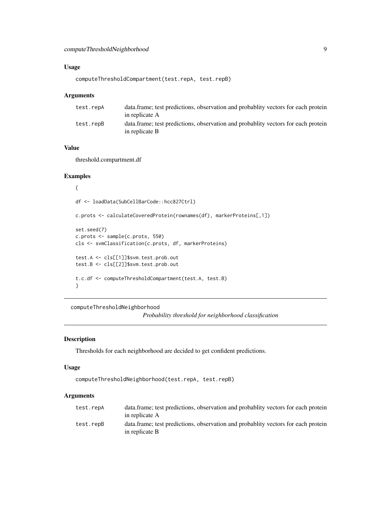## <span id="page-8-0"></span>Usage

computeThresholdCompartment(test.repA, test.repB)

#### Arguments

| test.repA | data, frame; test predictions, observation and probability vectors for each protein |
|-----------|-------------------------------------------------------------------------------------|
|           | in replicate A                                                                      |
| test.repB | data, frame; test predictions, observation and probability vectors for each protein |
|           | in replicate B                                                                      |

## Value

threshold.compartment.df

#### Examples

```
{
df <- loadData(SubCellBarCode::hcc827Ctrl)
c.prots <- calculateCoveredProtein(rownames(df), markerProteins[,1])
set.seed(7)
c.prots <- sample(c.prots, 550)
cls <- svmClassification(c.prots, df, markerProteins)
test.A <- cls[[1]]$svm.test.prob.out
test.B <- cls[[2]]$svm.test.prob.out
t.c.df <- computeThresholdCompartment(test.A, test.B)
}
```
computeThresholdNeighborhood

*Probability threshold for neighborhood classification*

## Description

Thresholds for each neighborhood are decided to get confident predictions.

## Usage

computeThresholdNeighborhood(test.repA, test.repB)

## Arguments

| test.repA | data.frame; test predictions, observation and probability vectors for each protein<br>in replicate A |
|-----------|------------------------------------------------------------------------------------------------------|
| test.repB | data.frame; test predictions, observation and probability vectors for each protein<br>in replicate B |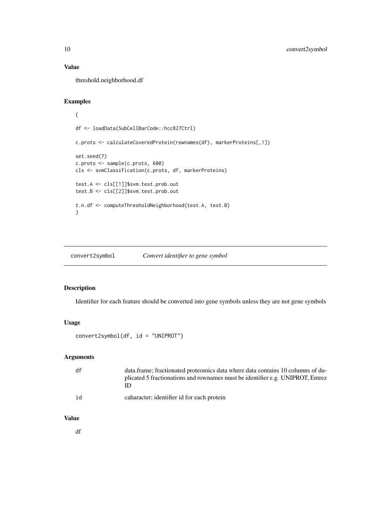## <span id="page-9-0"></span>Value

threshold.neighborhood.df

## Examples

```
{
df <- loadData(SubCellBarCode::hcc827Ctrl)
c.prots <- calculateCoveredProtein(rownames(df), markerProteins[,1])
set.seed(7)
c.prots <- sample(c.prots, 600)
cls <- svmClassification(c.prots, df, markerProteins)
test.A <- cls[[1]]$svm.test.prob.out
test.B <- cls[[2]]$svm.test.prob.out
t.n.df <- computeThresholdNeighborhood(test.A, test.B)
}
```
convert2symbol *Convert identifier to gene symbol*

## Description

Identifier for each feature should be converted into gene symbols unless they are not gene symbols

## Usage

```
convert2symbol(df, id = "UNIPROT")
```
## Arguments

| df | data frame; fractionated proteomics data where data contains 10 columns of du- |
|----|--------------------------------------------------------------------------------|
|    | plicated 5 fractionations and rownames must be identifier e.g. UNIPROT, Entrez |
| id | caharacter; identifier id for each protein                                     |

## Value

df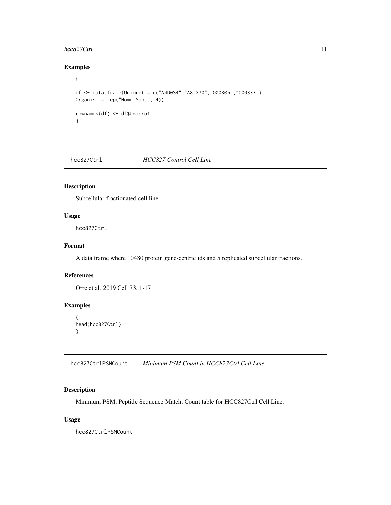#### <span id="page-10-0"></span> $hc827Ctri$  11

## Examples

```
{
df <- data.frame(Uniprot = c("A4D0S4","A8TX70","O00305","O00337"),
Organism = rep("Homo Sap.", 4))
rownames(df) <- df$Uniprot
}
```
## hcc827Ctrl *HCC827 Control Cell Line*

## Description

Subcellular fractionated cell line.

## Usage

hcc827Ctrl

## Format

A data frame where 10480 protein gene-centric ids and 5 replicated subcellular fractions.

## References

Orre et al. 2019 Cell 73, 1-17

## Examples

```
{
head(hcc827Ctrl)
}
```
hcc827CtrlPSMCount *Minimum PSM Count in HCC827Ctrl Cell Line.*

## Description

Minimum PSM, Peptide Sequence Match, Count table for HCC827Ctrl Cell Line.

## Usage

hcc827CtrlPSMCount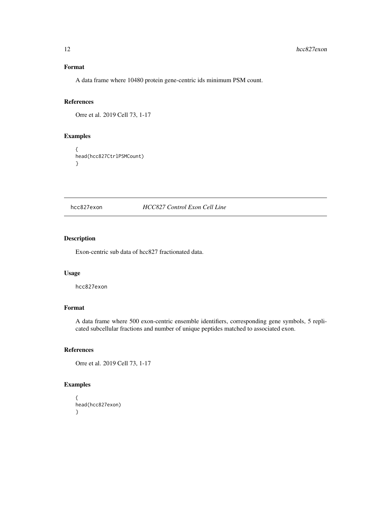## <span id="page-11-0"></span>Format

A data frame where 10480 protein gene-centric ids minimum PSM count.

## References

Orre et al. 2019 Cell 73, 1-17

## Examples

```
{
head(hcc827CtrlPSMCount)
}
```
## hcc827exon *HCC827 Control Exon Cell Line*

## Description

Exon-centric sub data of hcc827 fractionated data.

## Usage

hcc827exon

## Format

A data frame where 500 exon-centric ensemble identifiers, corresponding gene symbols, 5 replicated subcellular fractions and number of unique peptides matched to associated exon.

#### References

Orre et al. 2019 Cell 73, 1-17

## Examples

```
{
head(hcc827exon)
}
```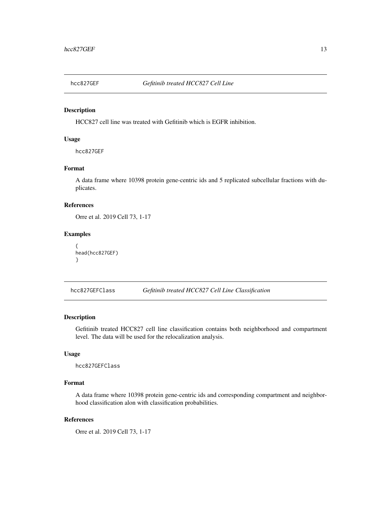<span id="page-12-0"></span>

## Description

HCC827 cell line was treated with Gefitinib which is EGFR inhibition.

#### Usage

hcc827GEF

## Format

A data frame where 10398 protein gene-centric ids and 5 replicated subcellular fractions with duplicates.

#### References

Orre et al. 2019 Cell 73, 1-17

#### Examples

```
{
head(hcc827GEF)
}
```
hcc827GEFClass *Gefitinib treated HCC827 Cell Line Classification*

#### Description

Gefitinib treated HCC827 cell line classification contains both neighborhood and compartment level. The data will be used for the relocalization analysis.

## Usage

```
hcc827GEFClass
```
## Format

A data frame where 10398 protein gene-centric ids and corresponding compartment and neighborhood classification alon with classification probabilities.

## References

Orre et al. 2019 Cell 73, 1-17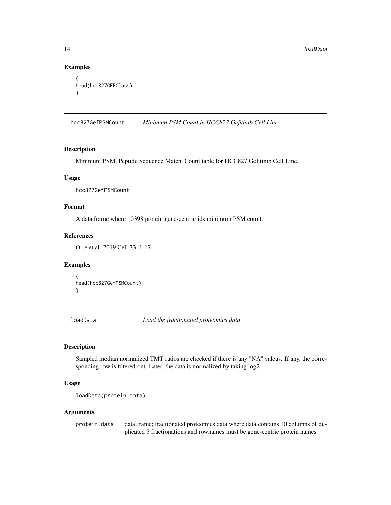<span id="page-13-0"></span>14 loadData and the contract of the contract of the contract of the contract of the contract of the contract of the contract of the contract of the contract of the contract of the contract of the contract of the contract o

## Examples

```
{
head(hcc827GEFClass)
}
```
hcc827GefPSMCount *Minimum PSM Count in HCC827 Gefitinib Cell Line.*

#### Description

Minimum PSM, Peptide Sequence Match, Count table for HCC827 Gefitinib Cell Line.

## Usage

hcc827GefPSMCount

## Format

A data frame where 10398 protein gene-centric ids minimum PSM count.

## References

Orre et al. 2019 Cell 73, 1-17

#### Examples

```
{
head(hcc827GefPSMCount)
}
```
loadData *Load the fractionated proteomics data*

## Description

Sampled median normalized TMT ratios are checked if there is any "NA" valeus. If any, the corresponding row is filtered out. Later, the data is normalized by taking log2.

#### Usage

```
loadData(protein.data)
```
#### Arguments

```
protein.data data.frame; fractionated proteomics data where data contains 10 columns of du-
                  plicated 5 fractionations and rownames must be gene-centric protein names
```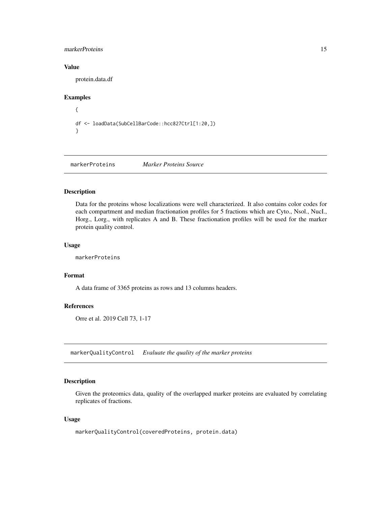## <span id="page-14-0"></span>markerProteins 15

#### Value

protein.data.df

#### Examples

```
{
df <- loadData(SubCellBarCode::hcc827Ctrl[1:20,])
}
```
markerProteins *Marker Proteins Source*

#### Description

Data for the proteins whose localizations were well characterized. It also contains color codes for each compartment and median fractionation profiles for 5 fractions which are Cyto., Nsol., NucI., Horg., Lorg., with replicates A and B. These fractionation profiles will be used for the marker protein quality control.

## Usage

markerProteins

#### Format

A data frame of 3365 proteins as rows and 13 columns headers.

#### References

Orre et al. 2019 Cell 73, 1-17

markerQualityControl *Evaluate the quality of the marker proteins*

## Description

Given the proteomics data, quality of the overlapped marker proteins are evaluated by correlating replicates of fractions.

#### Usage

markerQualityControl(coveredProteins, protein.data)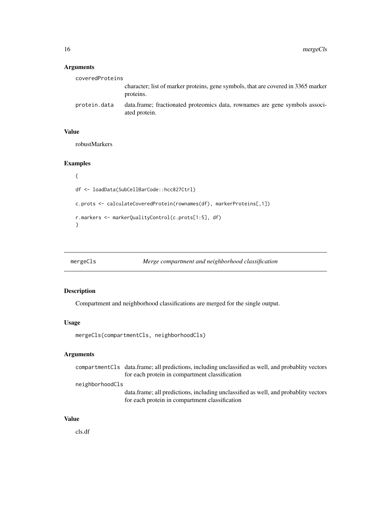## <span id="page-15-0"></span>Arguments

| coveredProteins |                                                                                                |
|-----------------|------------------------------------------------------------------------------------------------|
|                 | character; list of marker proteins, gene symbols, that are covered in 3365 marker<br>proteins. |
| protein.data    | data, frame; fractionated proteomics data, rownames are gene symbols associ-<br>ated protein.  |

## Value

robustMarkers

## Examples

```
{
df <- loadData(SubCellBarCode::hcc827Ctrl)
c.prots <- calculateCoveredProtein(rownames(df), markerProteins[,1])
r.markers <- markerQualityControl(c.prots[1:5], df)
}
```

```
mergeCls Merge compartment and neighborhood classification
```
## Description

Compartment and neighborhood classifications are merged for the single output.

## Usage

```
mergeCls(compartmentCls, neighborhoodCls)
```
## Arguments

|                 | compartment Cls data.frame; all predictions, including unclassified as well, and probability vectors |
|-----------------|------------------------------------------------------------------------------------------------------|
|                 | for each protein in compartment classification                                                       |
| neighborhoodCls |                                                                                                      |
|                 | data, frame; all predictions, including unclassified as well, and probability vectors                |
|                 | for each protein in compartment classification                                                       |

#### Value

cls.df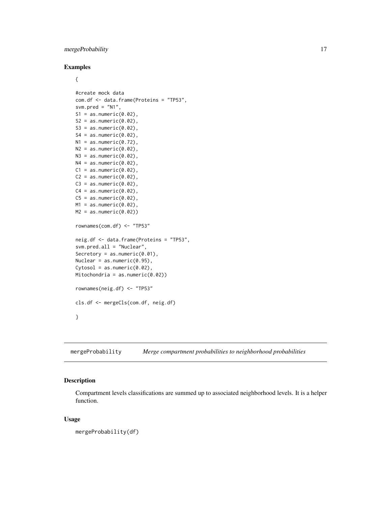## <span id="page-16-0"></span>mergeProbability 17

## Examples {

```
#create mock data
com.df <- data.frame(Proteins = "TP53",
svm.pred = "N1",
S1 = as.numeric(0.02),
S2 = as.numeric(0.02),
S3 = as.numeric(0.02),
S4 = as.numeric(0.02),
N1 = as.numeric(0.72),
N2 = as.numeric(0.02),
N3 = as.numeric(0.02),
N4 = as.numeric(0.02),
C1 = as.numeric(0.02),
C2 = as.numeric(0.02),
C3 = as.numeric(0.02),
C4 = as.numeric(0.02),
C5 = as.numeric(0.02),
M1 = as.numeric(0.02),
M2 = as.numeric(0.02)rownames(com.df) <- "TP53"
neig.df <- data.frame(Proteins = "TP53",
svm.pred.all = "Nuclear",
Secretory = as.numeric(0.01),
Nuclear = as.numeric(0.95),
Cytosol = as.numeric(0.02),
Mitochondria = as.numeric(0.02)rownames(neig.df) <- "TP53"
cls.df <- mergeCls(com.df, neig.df)
}
```
mergeProbability *Merge compartment probabilities to neighborhood probabilities*

#### Description

Compartment levels classifications are summed up to associated neighborhood levels. It is a helper function.

#### Usage

mergeProbability(df)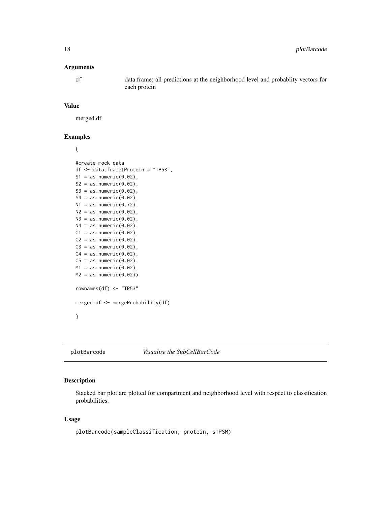#### <span id="page-17-0"></span>Arguments

df data.frame; all predictions at the neighborhood level and probablity vectors for each protein

## Value

merged.df

## Examples

{

```
#create mock data
df <- data.frame(Protein = "TP53",
S1 = as.numeric(0.02),
S2 = as.numeric(0.02),
S3 = as.numeric(0.02),
S4 = as.numeric(0.02),
N1 = as.numeric(0.72),
N2 = as.numeric(0.02),
N3 = as.numeric(0.02),
N4 = as.numeric(0.02),
C1 = as.numeric(0.02),
C2 = as.numeric(0.02),
C3 = as.numeric(0.02),
C4 = as.numeric(0.02),
C5 = as.numeric(0.02),
M1 = as.numeric(0.02),
M2 = as.numeric(0.02))rownames(df) <- "TP53"
merged.df <- mergeProbability(df)
}
```
plotBarcode *Visualize the SubCellBarCode*

#### Description

Stacked bar plot are plotted for compartment and neighborhood level with respect to classification probabilities.

#### Usage

```
plotBarcode(sampleClassification, protein, s1PSM)
```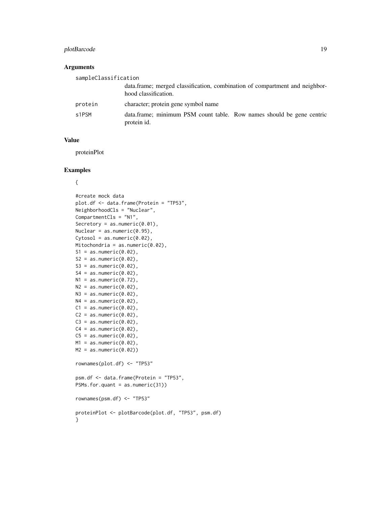## plotBarcode 19

#### Arguments

| sampleClassification |                                                                                                     |
|----------------------|-----------------------------------------------------------------------------------------------------|
|                      | data.frame; merged classification, combination of compartment and neighbor-<br>hood classification. |
| protein              | character; protein gene symbol name                                                                 |
| s1PSM                | data.frame; minimum PSM count table. Row names should be gene centric<br>protein id.                |

## Value

proteinPlot

## Examples {

```
#create mock data
plot.df <- data.frame(Protein = "TP53",
NeighborhoodCls = "Nuclear",
CompartmentCls = "N1",
Secretory = as.numeric(0.01),
Nuclear = as.numeric(0.95),
Cytosol = as.numeric(0.02),
Mitochondria = as.numeric(0.02),
S1 = as.numeric(0.02),
S2 = as.numeric(0.02),
S3 = as.numeric(0.02),
S4 = as.numeric(0.02),
N1 = as.numeric(0.72),
N2 = as.numeric(0.02),
N3 = as.numeric(0.02),
N4 = as.numeric(0.02),
C1 = as.numeric(0.02),
C2 = as.numeric(0.02),
C3 = as.numeric(0.02),
C4 = as.numeric(0.02),
C5 = as.numeric(0.02),
M1 = as.numeric(0.02),
M2 = as.numeric(0.02))rownames(plot.df) <- "TP53"
psm.df <- data.frame(Protein = "TP53",
PSMs.for.quant = as.numeric(31))
rownames(psm.df) <- "TP53"
proteinPlot <- plotBarcode(plot.df, "TP53", psm.df)
}
```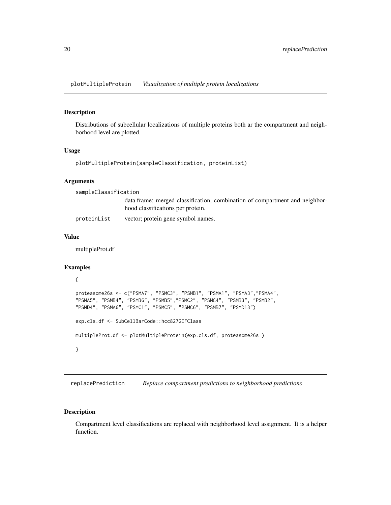<span id="page-19-0"></span>plotMultipleProtein *Visualization of multiple protein localizations*

## **Description**

Distributions of subcellular localizations of multiple proteins both ar the compartment and neighborhood level are plotted.

## Usage

```
plotMultipleProtein(sampleClassification, proteinList)
```
#### Arguments

| sampleClassification |                                                                                                                  |  |
|----------------------|------------------------------------------------------------------------------------------------------------------|--|
|                      | data.frame; merged classification, combination of compartment and neighbor-<br>hood classifications per protein. |  |
| proteinList          | vector; protein gene symbol names.                                                                               |  |

#### Value

multipleProt.df

#### Examples

#### {

```
proteasome26s <- c("PSMA7", "PSMC3", "PSMB1", "PSMA1", "PSMA3","PSMA4",
"PSMA5", "PSMB4", "PSMB6", "PSMB5","PSMC2", "PSMC4", "PSMB3", "PSMB2",
"PSMD4", "PSMA6", "PSMC1", "PSMC5", "PSMC6", "PSMB7", "PSMD13")
exp.cls.df <- SubCellBarCode::hcc827GEFClass
multipleProt.df <- plotMultipleProtein(exp.cls.df, proteasome26s )
}
```
replacePrediction *Replace compartment predictions to neighborhood predictions*

## Description

Compartment level classifications are replaced with neighborhood level assignment. It is a helper function.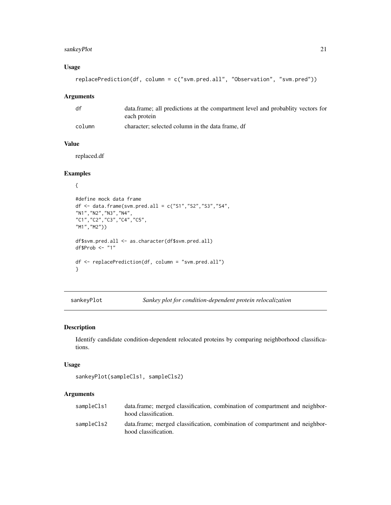## <span id="page-20-0"></span>sankeyPlot 21

## Usage

```
replacePrediction(df, column = c("svm.pred.all", "Observation", "svm.pred"))
```
#### Arguments

| df     | data, frame; all predictions at the compartment level and probability vectors for<br>each protein |
|--------|---------------------------------------------------------------------------------------------------|
| column | character: selected column in the data frame, df                                                  |

## Value

replaced.df

## Examples

{

```
#define mock data frame
df <- data.frame(svm.pred.all = c("S1","S2","S3","S4",
"N1","N2","N3","N4",
"C1","C2","C3","C4","C5",
"M1","M2"))
df$svm.pred.all <- as.character(df$svm.pred.all)
df$Prob <- "1"
df <- replacePrediction(df, column = "svm.pred.all")
}
```
sankeyPlot *Sankey plot for condition-dependent protein relocalization*

### Description

Identify candidate condition-dependent relocated proteins by comparing neighborhood classifications.

#### Usage

```
sankeyPlot(sampleCls1, sampleCls2)
```
## Arguments

| sampleCls1 | data.frame; merged classification, combination of compartment and neighbor-<br>hood classification. |
|------------|-----------------------------------------------------------------------------------------------------|
| sampleCls2 | data.frame; merged classification, combination of compartment and neighbor-<br>hood classification. |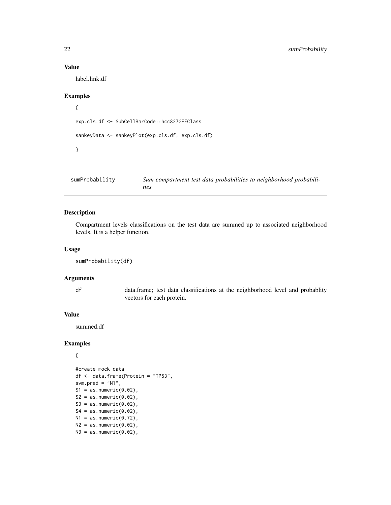#### Value

label.link.df

## Examples

```
{
exp.cls.df <- SubCellBarCode::hcc827GEFClass
sankeyData <- sankeyPlot(exp.cls.df, exp.cls.df)
}
```
sumProbability *Sum compartment test data probabilities to neighborhood probabilities*

## Description

Compartment levels classifications on the test data are summed up to associated neighborhood levels. It is a helper function.

## Usage

```
sumProbability(df)
```
#### Arguments

df data.frame; test data classifications at the neighborhood level and probablity vectors for each protein.

#### Value

summed.df

## Examples

{

```
#create mock data
df <- data.frame(Protein = "TP53",
svm.pred = "N1",S1 = as.numeric(0.02),
S2 = as.numeric(0.02),
S3 = as.numeric(0.02),
S4 = as.numeric(0.02),
N1 = as.numeric(0.72),
N2 = as.numeric(0.02),
N3 = as.numeric(0.02),
```
<span id="page-21-0"></span>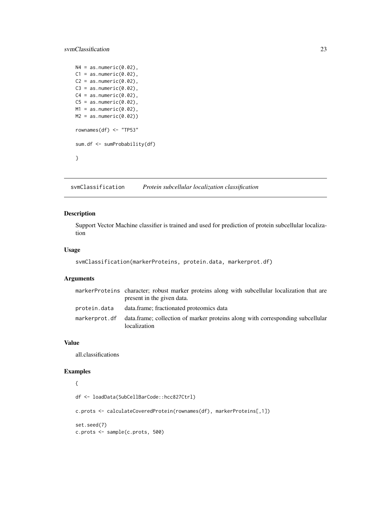#### <span id="page-22-0"></span>svmClassification 23

```
N4 = as.numeric(0.02),
C1 = as.numeric(0.02),
C2 = as.numeric(0.02),
C3 = as.numeric(0.02),
C4 = as.numeric(0.02),
C5 = as.numeric(0.02),
M1 = as.numeric(0.02),
M2 = as.numeric(0.02))rownames(df) <- "TP53"
sum.df <- sumProbability(df)
}
```
svmClassification *Protein subcellular localization classification*

## Description

Support Vector Machine classifier is trained and used for prediction of protein subcellular localization

#### Usage

```
svmClassification(markerProteins, protein.data, markerprot.df)
```
## Arguments

|              | markerProteins character; robust marker proteins along with subcellular localization that are                |
|--------------|--------------------------------------------------------------------------------------------------------------|
|              | present in the given data.                                                                                   |
| protein.data | data.frame; fractionated proteomics data                                                                     |
|              | markerprot.df data.frame; collection of marker proteins along with corresponding subcellular<br>localization |

#### Value

all.classifications

## Examples

```
{
df <- loadData(SubCellBarCode::hcc827Ctrl)
c.prots <- calculateCoveredProtein(rownames(df), markerProteins[,1])
set.seed(7)
c.prots <- sample(c.prots, 500)
```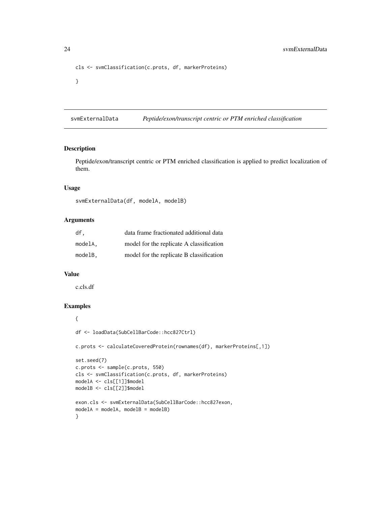```
cls <- svmClassification(c.prots, df, markerProteins)
}
```
svmExternalData *Peptide/exon/transcript centric or PTM enriched classification*

## Description

Peptide/exon/transcript centric or PTM enriched classification is applied to predict localization of them.

#### Usage

```
svmExternalData(df, modelA, modelB)
```
## Arguments

| df.     | data frame fractionated additional data  |
|---------|------------------------------------------|
| modelA. | model for the replicate A classification |
| modelB, | model for the replicate B classification |

#### Value

c.cls.df

## Examples

## {

```
df <- loadData(SubCellBarCode::hcc827Ctrl)
c.prots <- calculateCoveredProtein(rownames(df), markerProteins[,1])
set.seed(7)
c.prots <- sample(c.prots, 550)
cls <- svmClassification(c.prots, df, markerProteins)
modelA <- cls[[1]]$model
modelB <- cls[[2]]$model
exon.cls <- svmExternalData(SubCellBarCode::hcc827exon,
modelA = modelA, modelB = modelB)}
```
<span id="page-23-0"></span>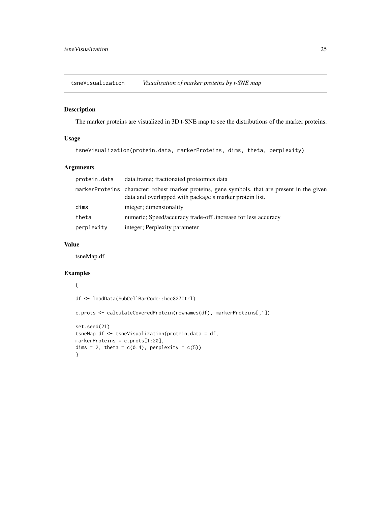<span id="page-24-0"></span>tsneVisualization *Visualization of marker proteins by t-SNE map*

## Description

The marker proteins are visualized in 3D t-SNE map to see the distributions of the marker proteins.

## Usage

```
tsneVisualization(protein.data, markerProteins, dims, theta, perplexity)
```
## Arguments

| protein.data | data.frame; fractionated proteomics data                                                                                                                 |
|--------------|----------------------------------------------------------------------------------------------------------------------------------------------------------|
|              | markerProteins character; robust marker proteins, gene symbols, that are present in the given<br>data and overlapped with package's marker protein list. |
| dims         | integer; dimensionality                                                                                                                                  |
| theta        | numeric; Speed/accuracy trade-off, increase for less accuracy                                                                                            |
| perplexity   | integer; Perplexity parameter                                                                                                                            |

#### Value

tsneMap.df

## Examples

#### {

```
df <- loadData(SubCellBarCode::hcc827Ctrl)
```

```
c.prots <- calculateCoveredProtein(rownames(df), markerProteins[,1])
```

```
set.seed(21)
tsneMap.df <- tsneVisualization(protein.data = df,
markerProteins = c.prots[1:20],
dims = 2, theta = c(0.4), perplexity = c(5))
}
```